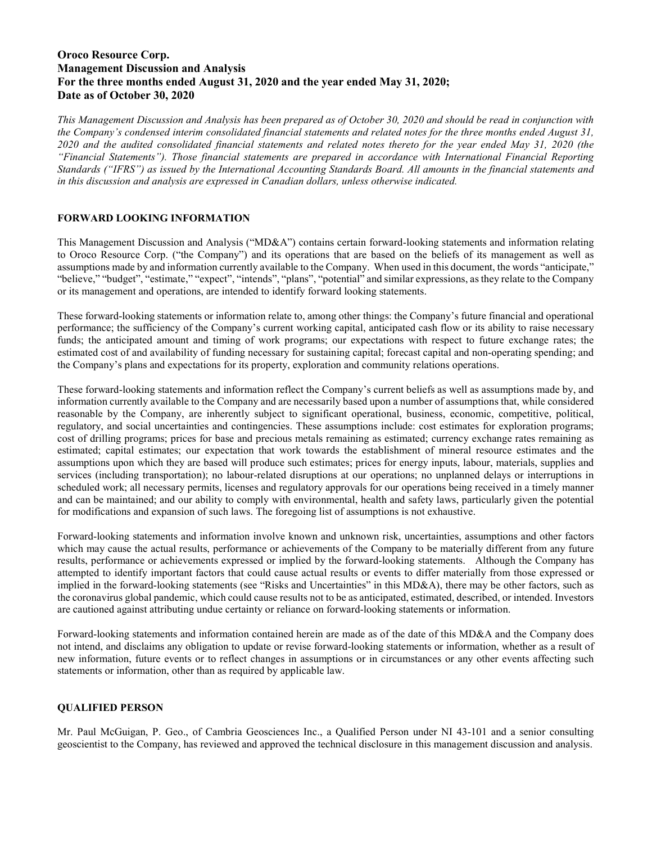# Oroco Resource Corp. Management Discussion and Analysis For the three months ended August 31, 2020 and the year ended May 31, 2020; Date as of October 30, 2020

This Management Discussion and Analysis has been prepared as of October 30, 2020 and should be read in conjunction with the Company's condensed interim consolidated financial statements and related notes for the three months ended August 31, 2020 and the audited consolidated financial statements and related notes thereto for the year ended May 31, 2020 (the "Financial Statements"). Those financial statements are prepared in accordance with International Financial Reporting Standards ("IFRS") as issued by the International Accounting Standards Board. All amounts in the financial statements and in this discussion and analysis are expressed in Canadian dollars, unless otherwise indicated.

## FORWARD LOOKING INFORMATION

This Management Discussion and Analysis ("MD&A") contains certain forward-looking statements and information relating to Oroco Resource Corp. ("the Company") and its operations that are based on the beliefs of its management as well as assumptions made by and information currently available to the Company. When used in this document, the words "anticipate," "believe," "budget", "estimate," "expect", "intends", "plans", "potential" and similar expressions, as they relate to the Company or its management and operations, are intended to identify forward looking statements.

These forward-looking statements or information relate to, among other things: the Company's future financial and operational performance; the sufficiency of the Company's current working capital, anticipated cash flow or its ability to raise necessary funds; the anticipated amount and timing of work programs; our expectations with respect to future exchange rates; the estimated cost of and availability of funding necessary for sustaining capital; forecast capital and non-operating spending; and the Company's plans and expectations for its property, exploration and community relations operations.

These forward-looking statements and information reflect the Company's current beliefs as well as assumptions made by, and information currently available to the Company and are necessarily based upon a number of assumptions that, while considered reasonable by the Company, are inherently subject to significant operational, business, economic, competitive, political, regulatory, and social uncertainties and contingencies. These assumptions include: cost estimates for exploration programs; cost of drilling programs; prices for base and precious metals remaining as estimated; currency exchange rates remaining as estimated; capital estimates; our expectation that work towards the establishment of mineral resource estimates and the assumptions upon which they are based will produce such estimates; prices for energy inputs, labour, materials, supplies and services (including transportation); no labour-related disruptions at our operations; no unplanned delays or interruptions in scheduled work; all necessary permits, licenses and regulatory approvals for our operations being received in a timely manner and can be maintained; and our ability to comply with environmental, health and safety laws, particularly given the potential for modifications and expansion of such laws. The foregoing list of assumptions is not exhaustive.

Forward-looking statements and information involve known and unknown risk, uncertainties, assumptions and other factors which may cause the actual results, performance or achievements of the Company to be materially different from any future results, performance or achievements expressed or implied by the forward-looking statements. Although the Company has attempted to identify important factors that could cause actual results or events to differ materially from those expressed or implied in the forward-looking statements (see "Risks and Uncertainties" in this MD&A), there may be other factors, such as the coronavirus global pandemic, which could cause results not to be as anticipated, estimated, described, or intended. Investors are cautioned against attributing undue certainty or reliance on forward-looking statements or information.

Forward-looking statements and information contained herein are made as of the date of this MD&A and the Company does not intend, and disclaims any obligation to update or revise forward-looking statements or information, whether as a result of new information, future events or to reflect changes in assumptions or in circumstances or any other events affecting such statements or information, other than as required by applicable law.

## QUALIFIED PERSON

Mr. Paul McGuigan, P. Geo., of Cambria Geosciences Inc., a Qualified Person under NI 43-101 and a senior consulting geoscientist to the Company, has reviewed and approved the technical disclosure in this management discussion and analysis.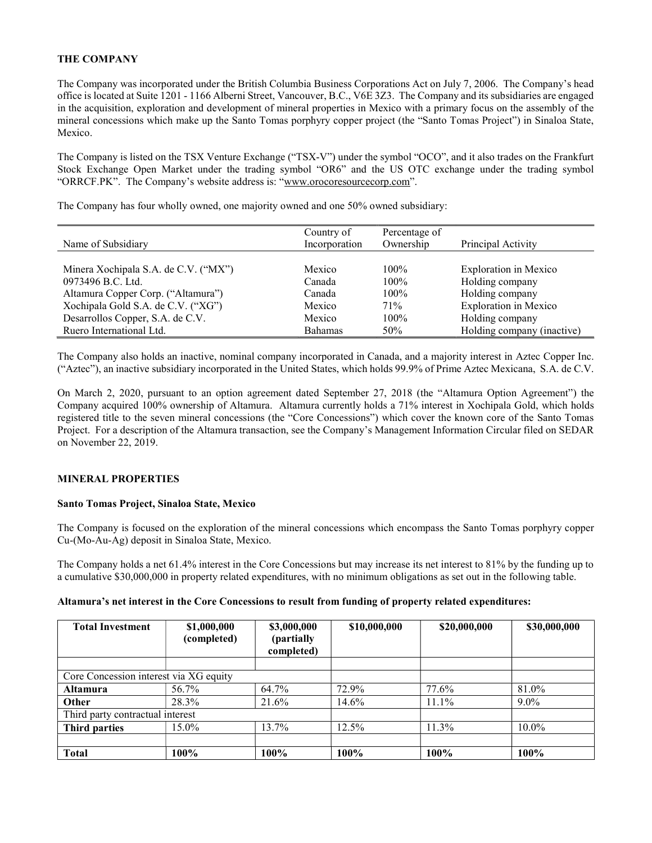## THE COMPANY

The Company was incorporated under the British Columbia Business Corporations Act on July 7, 2006. The Company's head office is located at Suite 1201 - 1166 Alberni Street, Vancouver, B.C., V6E 3Z3. The Company and its subsidiaries are engaged in the acquisition, exploration and development of mineral properties in Mexico with a primary focus on the assembly of the mineral concessions which make up the Santo Tomas porphyry copper project (the "Santo Tomas Project") in Sinaloa State, Mexico.

The Company is listed on the TSX Venture Exchange ("TSX-V") under the symbol "OCO", and it also trades on the Frankfurt Stock Exchange Open Market under the trading symbol "OR6" and the US OTC exchange under the trading symbol "ORRCF.PK". The Company's website address is: "www.orocoresourcecorp.com".

The Company has four wholly owned, one majority owned and one 50% owned subsidiary:

|                                      | Country of     | Percentage of |                              |
|--------------------------------------|----------------|---------------|------------------------------|
| Name of Subsidiary                   | Incorporation  | Ownership     | Principal Activity           |
|                                      |                |               |                              |
| Minera Xochipala S.A. de C.V. ("MX") | Mexico         | $100\%$       | <b>Exploration</b> in Mexico |
| 0973496 B.C. Ltd.                    | Canada         | $100\%$       | Holding company              |
| Altamura Copper Corp. ("Altamura")   | Canada         | $100\%$       | Holding company              |
| Xochipala Gold S.A. de C.V. ("XG")   | Mexico         | 71%           | <b>Exploration in Mexico</b> |
| Desarrollos Copper, S.A. de C.V.     | Mexico         | 100%          | Holding company              |
| Ruero International Ltd.             | <b>Bahamas</b> | 50%           | Holding company (inactive)   |

The Company also holds an inactive, nominal company incorporated in Canada, and a majority interest in Aztec Copper Inc. ("Aztec"), an inactive subsidiary incorporated in the United States, which holds 99.9% of Prime Aztec Mexicana, S.A. de C.V.

On March 2, 2020, pursuant to an option agreement dated September 27, 2018 (the "Altamura Option Agreement") the Company acquired 100% ownership of Altamura. Altamura currently holds a 71% interest in Xochipala Gold, which holds registered title to the seven mineral concessions (the "Core Concessions") which cover the known core of the Santo Tomas Project. For a description of the Altamura transaction, see the Company's Management Information Circular filed on SEDAR on November 22, 2019.

## MINERAL PROPERTIES

## Santo Tomas Project, Sinaloa State, Mexico

The Company is focused on the exploration of the mineral concessions which encompass the Santo Tomas porphyry copper Cu-(Mo-Au-Ag) deposit in Sinaloa State, Mexico.

The Company holds a net 61.4% interest in the Core Concessions but may increase its net interest to 81% by the funding up to a cumulative \$30,000,000 in property related expenditures, with no minimum obligations as set out in the following table.

| <b>Total Investment</b>                | \$1,000,000<br>(completed) | \$3,000,000<br>(partially)<br>completed) | \$10,000,000 | \$20,000,000 | \$30,000,000 |
|----------------------------------------|----------------------------|------------------------------------------|--------------|--------------|--------------|
|                                        |                            |                                          |              |              |              |
| Core Concession interest via XG equity |                            |                                          |              |              |              |
| <b>Altamura</b>                        | 56.7%                      | 64.7%                                    | 72.9%        | 77.6%        | 81.0%        |
| Other                                  | 28.3%                      | 21.6%                                    | 14.6%        | 11.1%        | $9.0\%$      |
| Third party contractual interest       |                            |                                          |              |              |              |
| <b>Third parties</b>                   | 15.0%                      | 13.7%                                    | 12.5%        | 11.3%        | $10.0\%$     |
|                                        |                            |                                          |              |              |              |
| <b>Total</b>                           | 100%                       | 100%                                     | 100%         | 100%         | 100%         |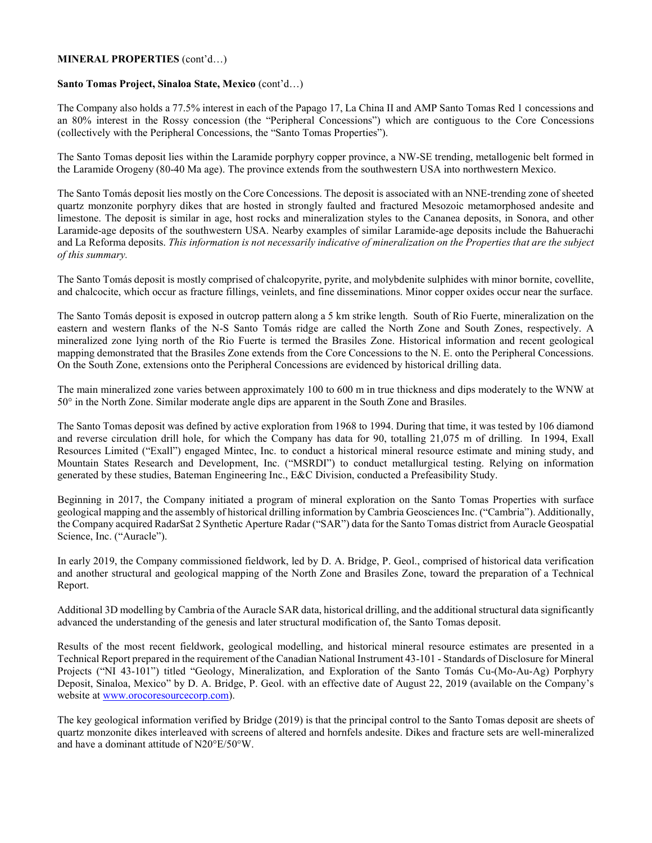### MINERAL PROPERTIES (cont'd…)

#### Santo Tomas Project, Sinaloa State, Mexico (cont'd…)

The Company also holds a 77.5% interest in each of the Papago 17, La China II and AMP Santo Tomas Red 1 concessions and an 80% interest in the Rossy concession (the "Peripheral Concessions") which are contiguous to the Core Concessions (collectively with the Peripheral Concessions, the "Santo Tomas Properties").

The Santo Tomas deposit lies within the Laramide porphyry copper province, a NW-SE trending, metallogenic belt formed in the Laramide Orogeny (80-40 Ma age). The province extends from the southwestern USA into northwestern Mexico.

The Santo Tomás deposit lies mostly on the Core Concessions. The deposit is associated with an NNE-trending zone of sheeted quartz monzonite porphyry dikes that are hosted in strongly faulted and fractured Mesozoic metamorphosed andesite and limestone. The deposit is similar in age, host rocks and mineralization styles to the Cananea deposits, in Sonora, and other Laramide-age deposits of the southwestern USA. Nearby examples of similar Laramide-age deposits include the Bahuerachi and La Reforma deposits. This information is not necessarily indicative of mineralization on the Properties that are the subject of this summary.

The Santo Tomás deposit is mostly comprised of chalcopyrite, pyrite, and molybdenite sulphides with minor bornite, covellite, and chalcocite, which occur as fracture fillings, veinlets, and fine disseminations. Minor copper oxides occur near the surface.

The Santo Tomás deposit is exposed in outcrop pattern along a 5 km strike length. South of Rio Fuerte, mineralization on the eastern and western flanks of the N-S Santo Tomás ridge are called the North Zone and South Zones, respectively. A mineralized zone lying north of the Rio Fuerte is termed the Brasiles Zone. Historical information and recent geological mapping demonstrated that the Brasiles Zone extends from the Core Concessions to the N. E. onto the Peripheral Concessions. On the South Zone, extensions onto the Peripheral Concessions are evidenced by historical drilling data.

The main mineralized zone varies between approximately 100 to 600 m in true thickness and dips moderately to the WNW at 50° in the North Zone. Similar moderate angle dips are apparent in the South Zone and Brasiles.

The Santo Tomas deposit was defined by active exploration from 1968 to 1994. During that time, it was tested by 106 diamond and reverse circulation drill hole, for which the Company has data for 90, totalling 21,075 m of drilling. In 1994, Exall Resources Limited ("Exall") engaged Mintec, Inc. to conduct a historical mineral resource estimate and mining study, and Mountain States Research and Development, Inc. ("MSRDI") to conduct metallurgical testing. Relying on information generated by these studies, Bateman Engineering Inc., E&C Division, conducted a Prefeasibility Study.

Beginning in 2017, the Company initiated a program of mineral exploration on the Santo Tomas Properties with surface geological mapping and the assembly of historical drilling information by Cambria Geosciences Inc. ("Cambria"). Additionally, the Company acquired RadarSat 2 Synthetic Aperture Radar ("SAR") data for the Santo Tomas district from Auracle Geospatial Science, Inc. ("Auracle").

In early 2019, the Company commissioned fieldwork, led by D. A. Bridge, P. Geol., comprised of historical data verification and another structural and geological mapping of the North Zone and Brasiles Zone, toward the preparation of a Technical Report.

Additional 3D modelling by Cambria of the Auracle SAR data, historical drilling, and the additional structural data significantly advanced the understanding of the genesis and later structural modification of, the Santo Tomas deposit.

Results of the most recent fieldwork, geological modelling, and historical mineral resource estimates are presented in a Technical Report prepared in the requirement of the Canadian National Instrument 43-101 - Standards of Disclosure for Mineral Projects ("NI 43-101") titled "Geology, Mineralization, and Exploration of the Santo Tomás Cu-(Mo-Au-Ag) Porphyry Deposit, Sinaloa, Mexico" by D. A. Bridge, P. Geol. with an effective date of August 22, 2019 (available on the Company's website at www.orocoresourcecorp.com).

The key geological information verified by Bridge (2019) is that the principal control to the Santo Tomas deposit are sheets of quartz monzonite dikes interleaved with screens of altered and hornfels andesite. Dikes and fracture sets are well-mineralized and have a dominant attitude of N20°E/50°W.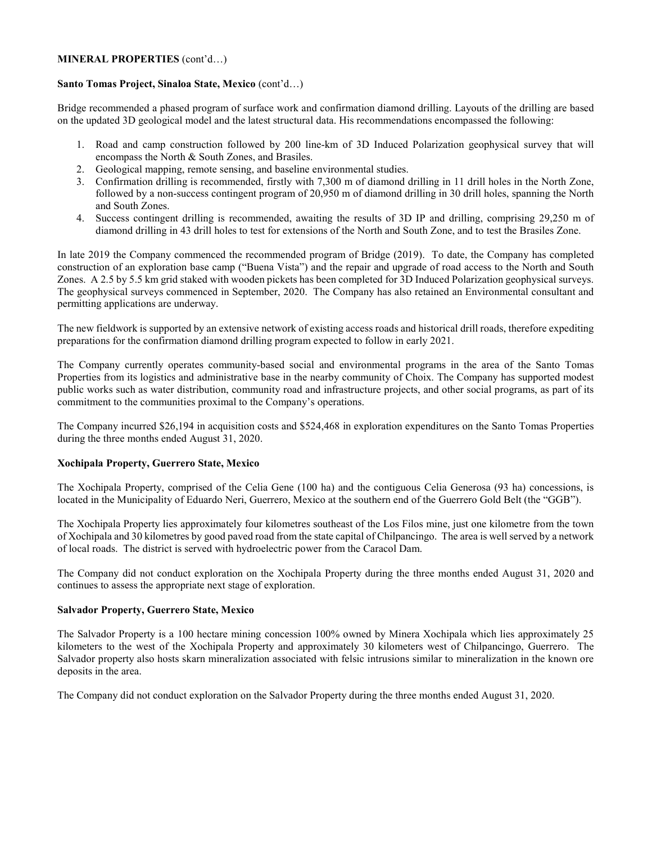### MINERAL PROPERTIES (cont'd…)

### Santo Tomas Project, Sinaloa State, Mexico (cont'd…)

Bridge recommended a phased program of surface work and confirmation diamond drilling. Layouts of the drilling are based on the updated 3D geological model and the latest structural data. His recommendations encompassed the following:

- 1. Road and camp construction followed by 200 line-km of 3D Induced Polarization geophysical survey that will encompass the North & South Zones, and Brasiles.
- 2. Geological mapping, remote sensing, and baseline environmental studies.
- 3. Confirmation drilling is recommended, firstly with 7,300 m of diamond drilling in 11 drill holes in the North Zone, followed by a non-success contingent program of 20,950 m of diamond drilling in 30 drill holes, spanning the North and South Zones.
- 4. Success contingent drilling is recommended, awaiting the results of 3D IP and drilling, comprising 29,250 m of diamond drilling in 43 drill holes to test for extensions of the North and South Zone, and to test the Brasiles Zone.

In late 2019 the Company commenced the recommended program of Bridge (2019). To date, the Company has completed construction of an exploration base camp ("Buena Vista") and the repair and upgrade of road access to the North and South Zones. A 2.5 by 5.5 km grid staked with wooden pickets has been completed for 3D Induced Polarization geophysical surveys. The geophysical surveys commenced in September, 2020. The Company has also retained an Environmental consultant and permitting applications are underway.

The new fieldwork is supported by an extensive network of existing access roads and historical drill roads, therefore expediting preparations for the confirmation diamond drilling program expected to follow in early 2021.

The Company currently operates community-based social and environmental programs in the area of the Santo Tomas Properties from its logistics and administrative base in the nearby community of Choix. The Company has supported modest public works such as water distribution, community road and infrastructure projects, and other social programs, as part of its commitment to the communities proximal to the Company's operations.

The Company incurred \$26,194 in acquisition costs and \$524,468 in exploration expenditures on the Santo Tomas Properties during the three months ended August 31, 2020.

# Xochipala Property, Guerrero State, Mexico

The Xochipala Property, comprised of the Celia Gene (100 ha) and the contiguous Celia Generosa (93 ha) concessions, is located in the Municipality of Eduardo Neri, Guerrero, Mexico at the southern end of the Guerrero Gold Belt (the "GGB").

The Xochipala Property lies approximately four kilometres southeast of the Los Filos mine, just one kilometre from the town of Xochipala and 30 kilometres by good paved road from the state capital of Chilpancingo. The area is well served by a network of local roads. The district is served with hydroelectric power from the Caracol Dam.

The Company did not conduct exploration on the Xochipala Property during the three months ended August 31, 2020 and continues to assess the appropriate next stage of exploration.

## Salvador Property, Guerrero State, Mexico

The Salvador Property is a 100 hectare mining concession 100% owned by Minera Xochipala which lies approximately 25 kilometers to the west of the Xochipala Property and approximately 30 kilometers west of Chilpancingo, Guerrero. The Salvador property also hosts skarn mineralization associated with felsic intrusions similar to mineralization in the known ore deposits in the area.

The Company did not conduct exploration on the Salvador Property during the three months ended August 31, 2020.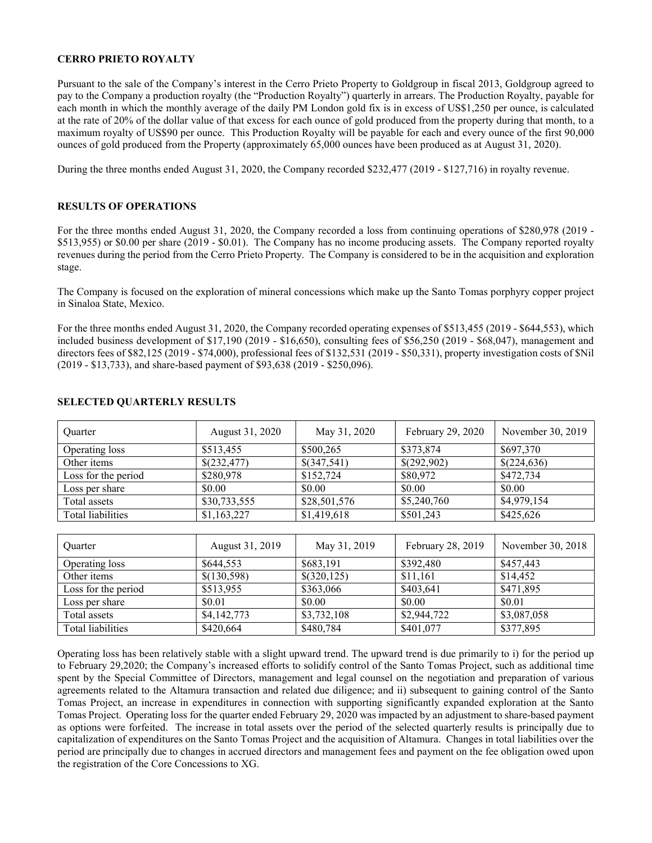### CERRO PRIETO ROYALTY

Pursuant to the sale of the Company's interest in the Cerro Prieto Property to Goldgroup in fiscal 2013, Goldgroup agreed to pay to the Company a production royalty (the "Production Royalty") quarterly in arrears. The Production Royalty, payable for each month in which the monthly average of the daily PM London gold fix is in excess of US\$1,250 per ounce, is calculated at the rate of 20% of the dollar value of that excess for each ounce of gold produced from the property during that month, to a maximum royalty of US\$90 per ounce. This Production Royalty will be payable for each and every ounce of the first 90,000 ounces of gold produced from the Property (approximately 65,000 ounces have been produced as at August 31, 2020).

During the three months ended August 31, 2020, the Company recorded \$232,477 (2019 - \$127,716) in royalty revenue.

### RESULTS OF OPERATIONS

For the three months ended August 31, 2020, the Company recorded a loss from continuing operations of \$280,978 (2019 - \$513,955) or \$0.00 per share (2019 - \$0.01). The Company has no income producing assets. The Company reported royalty revenues during the period from the Cerro Prieto Property. The Company is considered to be in the acquisition and exploration stage.

The Company is focused on the exploration of mineral concessions which make up the Santo Tomas porphyry copper project in Sinaloa State, Mexico.

For the three months ended August 31, 2020, the Company recorded operating expenses of \$513,455 (2019 - \$644,553), which included business development of \$17,190 (2019 - \$16,650), consulting fees of \$56,250 (2019 - \$68,047), management and directors fees of \$82,125 (2019 - \$74,000), professional fees of \$132,531 (2019 - \$50,331), property investigation costs of \$Nil (2019 - \$13,733), and share-based payment of \$93,638 (2019 - \$250,096).

| <b>Ouarter</b>      | August 31, 2020 | May 31, 2020 | February 29, 2020 | November 30, 2019 |
|---------------------|-----------------|--------------|-------------------|-------------------|
| Operating loss      | \$513,455       | \$500,265    | \$373,874         | \$697,370         |
| Other items         | \$(232,477)     | \$(347,541)  | \$(292,902)       | \$(224,636)       |
| Loss for the period | \$280,978       | \$152,724    | \$80,972          | \$472,734         |
| Loss per share      | \$0.00          | \$0.00       | \$0.00            | \$0.00            |
| Total assets        | \$30,733,555    | \$28,501,576 | \$5,240,760       | \$4,979,154       |
| Total liabilities   | \$1,163,227     | \$1,419,618  | \$501,243         | \$425,626         |
|                     |                 |              |                   |                   |
| Ouarter             | August 31, 2019 | May 31, 2019 | February 28, 2019 | November 30, 2018 |
| Operating loss      | \$644,553       | \$683,191    | \$392,480         | \$457,443         |
| Other items         | \$(130,598)     | \$(320,125)  | \$11,161          | \$14,452          |
| Loss for the period | \$513,955       | \$363,066    | \$403,641         | \$471,895         |
| Loss per share      | \$0.01          | \$0.00       | \$0.00            | \$0.01            |
| Total assets        | \$4,142,773     | \$3,732,108  | \$2,944,722       | \$3,087,058       |
| Total liabilities   | \$420,664       | \$480,784    | \$401,077         | \$377,895         |

#### SELECTED QUARTERLY RESULTS

Operating loss has been relatively stable with a slight upward trend. The upward trend is due primarily to i) for the period up to February 29,2020; the Company's increased efforts to solidify control of the Santo Tomas Project, such as additional time spent by the Special Committee of Directors, management and legal counsel on the negotiation and preparation of various agreements related to the Altamura transaction and related due diligence; and ii) subsequent to gaining control of the Santo Tomas Project, an increase in expenditures in connection with supporting significantly expanded exploration at the Santo Tomas Project. Operating loss for the quarter ended February 29, 2020 was impacted by an adjustment to share-based payment as options were forfeited. The increase in total assets over the period of the selected quarterly results is principally due to capitalization of expenditures on the Santo Tomas Project and the acquisition of Altamura. Changes in total liabilities over the period are principally due to changes in accrued directors and management fees and payment on the fee obligation owed upon the registration of the Core Concessions to XG.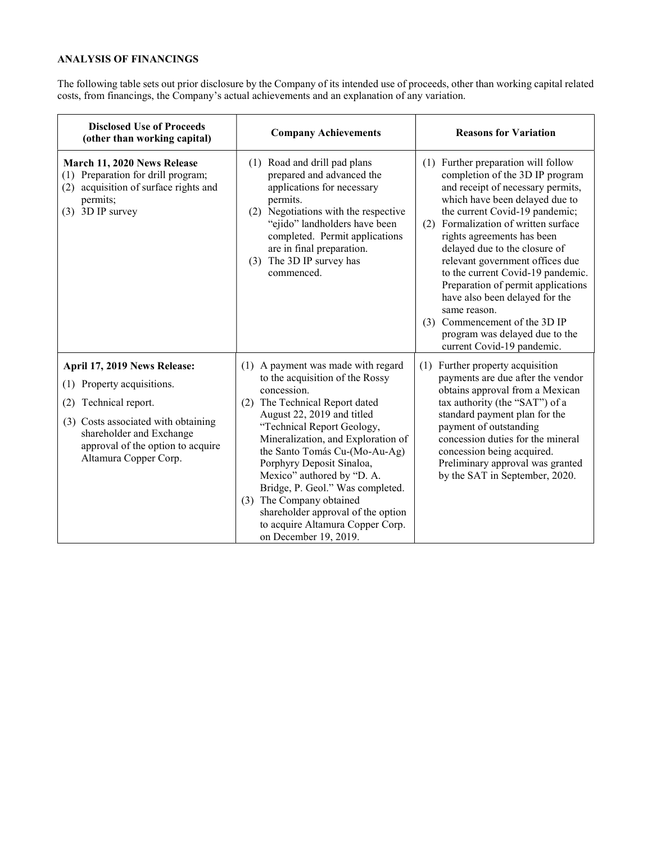# ANALYSIS OF FINANCINGS

The following table sets out prior disclosure by the Company of its intended use of proceeds, other than working capital related costs, from financings, the Company's actual achievements and an explanation of any variation.

| <b>Disclosed Use of Proceeds</b><br>(other than working capital)                                                                                                                                                           | <b>Company Achievements</b>                                                                                                                                                                                                                                                                                                                                                                                                                                                                | <b>Reasons for Variation</b>                                                                                                                                                                                                                                                                                                                                                                                                                                                                                                                                  |
|----------------------------------------------------------------------------------------------------------------------------------------------------------------------------------------------------------------------------|--------------------------------------------------------------------------------------------------------------------------------------------------------------------------------------------------------------------------------------------------------------------------------------------------------------------------------------------------------------------------------------------------------------------------------------------------------------------------------------------|---------------------------------------------------------------------------------------------------------------------------------------------------------------------------------------------------------------------------------------------------------------------------------------------------------------------------------------------------------------------------------------------------------------------------------------------------------------------------------------------------------------------------------------------------------------|
| March 11, 2020 News Release<br>(1) Preparation for drill program;<br>(2) acquisition of surface rights and<br>permits;<br>$(3)$ 3D IP survey                                                                               | (1) Road and drill pad plans<br>prepared and advanced the<br>applications for necessary<br>permits.<br>(2) Negotiations with the respective<br>"ejido" landholders have been<br>completed. Permit applications<br>are in final preparation.<br>The 3D IP survey has<br>(3)<br>commenced.                                                                                                                                                                                                   | (1) Further preparation will follow<br>completion of the 3D IP program<br>and receipt of necessary permits,<br>which have been delayed due to<br>the current Covid-19 pandemic;<br>Formalization of written surface<br>(2)<br>rights agreements has been<br>delayed due to the closure of<br>relevant government offices due<br>to the current Covid-19 pandemic.<br>Preparation of permit applications<br>have also been delayed for the<br>same reason.<br>Commencement of the 3D IP<br>(3)<br>program was delayed due to the<br>current Covid-19 pandemic. |
| April 17, 2019 News Release:<br>Property acquisitions.<br>(1)<br>Technical report.<br>(2)<br>(3) Costs associated with obtaining<br>shareholder and Exchange<br>approval of the option to acquire<br>Altamura Copper Corp. | (1) A payment was made with regard<br>to the acquisition of the Rossy<br>concession.<br>The Technical Report dated<br>(2)<br>August 22, 2019 and titled<br>"Technical Report Geology,<br>Mineralization, and Exploration of<br>the Santo Tomás Cu-(Mo-Au-Ag)<br>Porphyry Deposit Sinaloa,<br>Mexico" authored by "D. A.<br>Bridge, P. Geol." Was completed.<br>(3) The Company obtained<br>shareholder approval of the option<br>to acquire Altamura Copper Corp.<br>on December 19, 2019. | (1) Further property acquisition<br>payments are due after the vendor<br>obtains approval from a Mexican<br>tax authority (the "SAT") of a<br>standard payment plan for the<br>payment of outstanding<br>concession duties for the mineral<br>concession being acquired.<br>Preliminary approval was granted<br>by the SAT in September, 2020.                                                                                                                                                                                                                |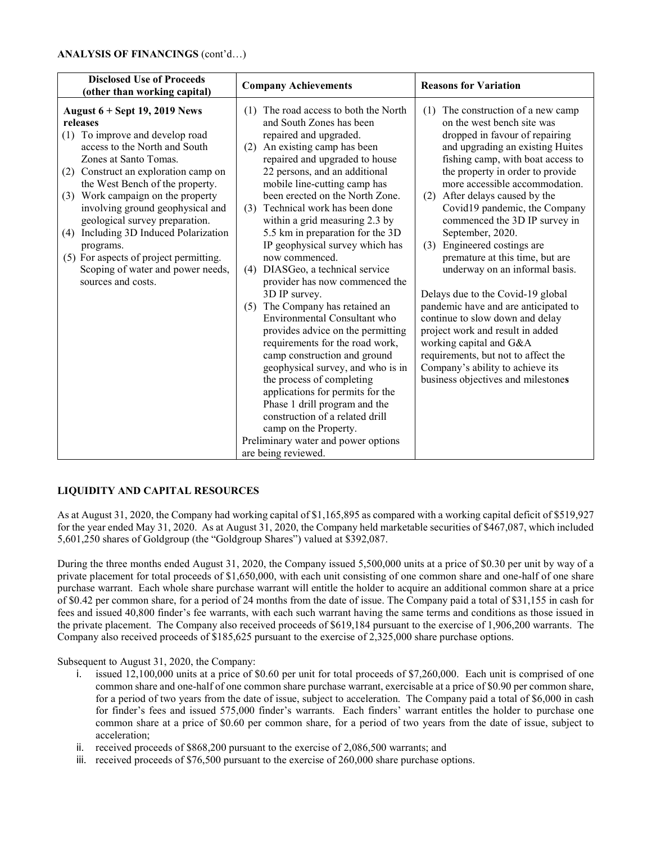| <b>Disclosed Use of Proceeds</b><br>(other than working capital)                                                                                                                                                                                                                                                                                                                                                                                                                                   | <b>Company Achievements</b>                                                                                                                                                                                                                                                                                                                                                                                                                                                                                                                                                                                                                                                                                                                                                                                                                                                                                                                                                      | <b>Reasons for Variation</b>                                                                                                                                                                                                                                                                                                                                                                                                                                                                                                                                                                                                                                                                                                                                                           |
|----------------------------------------------------------------------------------------------------------------------------------------------------------------------------------------------------------------------------------------------------------------------------------------------------------------------------------------------------------------------------------------------------------------------------------------------------------------------------------------------------|----------------------------------------------------------------------------------------------------------------------------------------------------------------------------------------------------------------------------------------------------------------------------------------------------------------------------------------------------------------------------------------------------------------------------------------------------------------------------------------------------------------------------------------------------------------------------------------------------------------------------------------------------------------------------------------------------------------------------------------------------------------------------------------------------------------------------------------------------------------------------------------------------------------------------------------------------------------------------------|----------------------------------------------------------------------------------------------------------------------------------------------------------------------------------------------------------------------------------------------------------------------------------------------------------------------------------------------------------------------------------------------------------------------------------------------------------------------------------------------------------------------------------------------------------------------------------------------------------------------------------------------------------------------------------------------------------------------------------------------------------------------------------------|
| August $6 +$ Sept 19, 2019 News<br>releases<br>To improve and develop road<br>(1)<br>access to the North and South<br>Zones at Santo Tomas.<br>(2) Construct an exploration camp on<br>the West Bench of the property.<br>Work campaign on the property<br>(3)<br>involving ground geophysical and<br>geological survey preparation.<br>Including 3D Induced Polarization<br>(4)<br>programs.<br>(5) For aspects of project permitting.<br>Scoping of water and power needs,<br>sources and costs. | (1) The road access to both the North<br>and South Zones has been<br>repaired and upgraded.<br>An existing camp has been<br>(2)<br>repaired and upgraded to house<br>22 persons, and an additional<br>mobile line-cutting camp has<br>been erected on the North Zone.<br>Technical work has been done<br>(3)<br>within a grid measuring 2.3 by<br>5.5 km in preparation for the 3D<br>IP geophysical survey which has<br>now commenced.<br>DIASGeo, a technical service<br>(4)<br>provider has now commenced the<br>3D IP survey.<br>The Company has retained an<br>(5)<br>Environmental Consultant who<br>provides advice on the permitting<br>requirements for the road work,<br>camp construction and ground<br>geophysical survey, and who is in<br>the process of completing<br>applications for permits for the<br>Phase 1 drill program and the<br>construction of a related drill<br>camp on the Property.<br>Preliminary water and power options<br>are being reviewed. | The construction of a new camp<br>(1)<br>on the west bench site was<br>dropped in favour of repairing<br>and upgrading an existing Huites<br>fishing camp, with boat access to<br>the property in order to provide<br>more accessible accommodation.<br>After delays caused by the<br>(2)<br>Covid19 pandemic, the Company<br>commenced the 3D IP survey in<br>September, 2020.<br>Engineered costings are<br>(3)<br>premature at this time, but are<br>underway on an informal basis.<br>Delays due to the Covid-19 global<br>pandemic have and are anticipated to<br>continue to slow down and delay<br>project work and result in added<br>working capital and G&A<br>requirements, but not to affect the<br>Company's ability to achieve its<br>business objectives and milestones |

## LIQUIDITY AND CAPITAL RESOURCES

As at August 31, 2020, the Company had working capital of \$1,165,895 as compared with a working capital deficit of \$519,927 for the year ended May 31, 2020. As at August 31, 2020, the Company held marketable securities of \$467,087, which included 5,601,250 shares of Goldgroup (the "Goldgroup Shares") valued at \$392,087.

During the three months ended August 31, 2020, the Company issued 5,500,000 units at a price of \$0.30 per unit by way of a private placement for total proceeds of \$1,650,000, with each unit consisting of one common share and one-half of one share purchase warrant. Each whole share purchase warrant will entitle the holder to acquire an additional common share at a price of \$0.42 per common share, for a period of 24 months from the date of issue. The Company paid a total of \$31,155 in cash for fees and issued 40,800 finder's fee warrants, with each such warrant having the same terms and conditions as those issued in the private placement. The Company also received proceeds of \$619,184 pursuant to the exercise of 1,906,200 warrants. The Company also received proceeds of \$185,625 pursuant to the exercise of 2,325,000 share purchase options.

Subsequent to August 31, 2020, the Company:

- i. issued 12,100,000 units at a price of \$0.60 per unit for total proceeds of \$7,260,000. Each unit is comprised of one common share and one-half of one common share purchase warrant, exercisable at a price of \$0.90 per common share, for a period of two years from the date of issue, subject to acceleration. The Company paid a total of \$6,000 in cash for finder's fees and issued 575,000 finder's warrants. Each finders' warrant entitles the holder to purchase one common share at a price of \$0.60 per common share, for a period of two years from the date of issue, subject to acceleration;
- ii. received proceeds of \$868,200 pursuant to the exercise of 2,086,500 warrants; and
- iii. received proceeds of \$76,500 pursuant to the exercise of 260,000 share purchase options.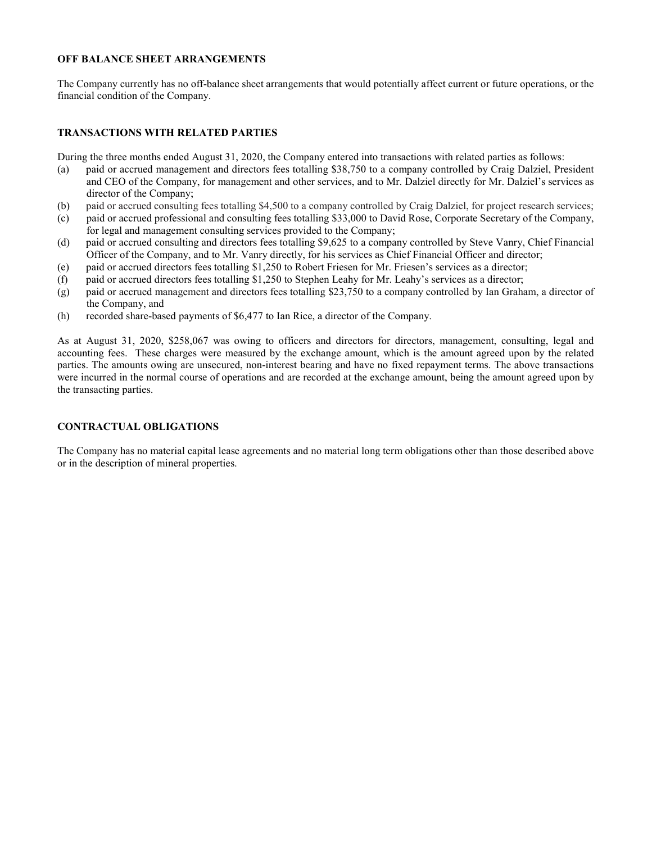### OFF BALANCE SHEET ARRANGEMENTS

The Company currently has no off-balance sheet arrangements that would potentially affect current or future operations, or the financial condition of the Company.

### TRANSACTIONS WITH RELATED PARTIES

During the three months ended August 31, 2020, the Company entered into transactions with related parties as follows:

- (a) paid or accrued management and directors fees totalling \$38,750 to a company controlled by Craig Dalziel, President and CEO of the Company, for management and other services, and to Mr. Dalziel directly for Mr. Dalziel's services as director of the Company;
- (b) paid or accrued consulting fees totalling \$4,500 to a company controlled by Craig Dalziel, for project research services;
- (c) paid or accrued professional and consulting fees totalling \$33,000 to David Rose, Corporate Secretary of the Company, for legal and management consulting services provided to the Company;
- (d) paid or accrued consulting and directors fees totalling \$9,625 to a company controlled by Steve Vanry, Chief Financial Officer of the Company, and to Mr. Vanry directly, for his services as Chief Financial Officer and director;
- (e) paid or accrued directors fees totalling \$1,250 to Robert Friesen for Mr. Friesen's services as a director;
- (f) paid or accrued directors fees totalling \$1,250 to Stephen Leahy for Mr. Leahy's services as a director;
- (g) paid or accrued management and directors fees totalling \$23,750 to a company controlled by Ian Graham, a director of the Company, and
- (h) recorded share-based payments of \$6,477 to Ian Rice, a director of the Company.

As at August 31, 2020, \$258,067 was owing to officers and directors for directors, management, consulting, legal and accounting fees. These charges were measured by the exchange amount, which is the amount agreed upon by the related parties. The amounts owing are unsecured, non-interest bearing and have no fixed repayment terms. The above transactions were incurred in the normal course of operations and are recorded at the exchange amount, being the amount agreed upon by the transacting parties.

## CONTRACTUAL OBLIGATIONS

The Company has no material capital lease agreements and no material long term obligations other than those described above or in the description of mineral properties.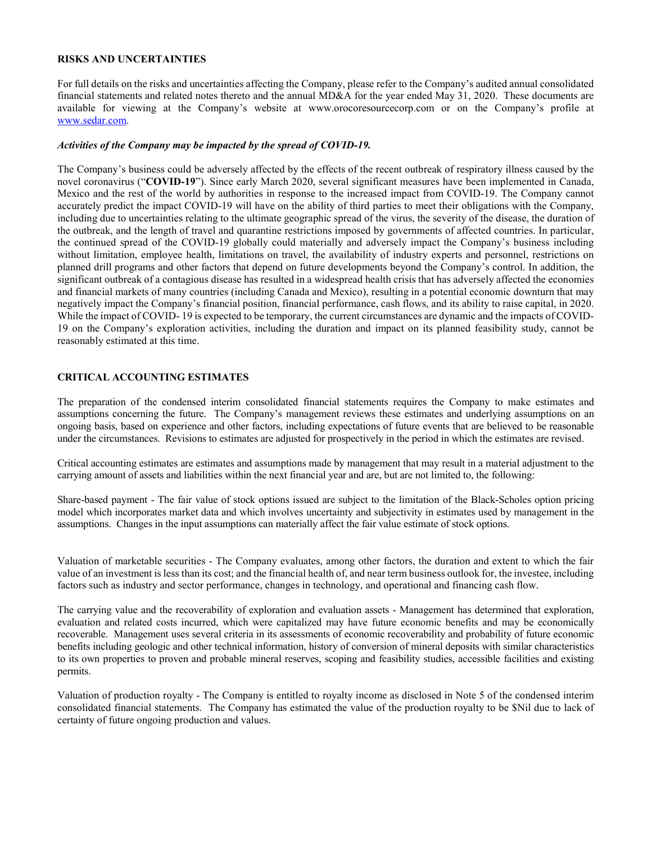#### RISKS AND UNCERTAINTIES

For full details on the risks and uncertainties affecting the Company, please refer to the Company's audited annual consolidated financial statements and related notes thereto and the annual MD&A for the year ended May 31, 2020. These documents are available for viewing at the Company's website at www.orocoresourcecorp.com or on the Company's profile at www.sedar.com.

#### Activities of the Company may be impacted by the spread of COVID-19.

The Company's business could be adversely affected by the effects of the recent outbreak of respiratory illness caused by the novel coronavirus ("COVID-19"). Since early March 2020, several significant measures have been implemented in Canada, Mexico and the rest of the world by authorities in response to the increased impact from COVID-19. The Company cannot accurately predict the impact COVID-19 will have on the ability of third parties to meet their obligations with the Company, including due to uncertainties relating to the ultimate geographic spread of the virus, the severity of the disease, the duration of the outbreak, and the length of travel and quarantine restrictions imposed by governments of affected countries. In particular, the continued spread of the COVID-19 globally could materially and adversely impact the Company's business including without limitation, employee health, limitations on travel, the availability of industry experts and personnel, restrictions on planned drill programs and other factors that depend on future developments beyond the Company's control. In addition, the significant outbreak of a contagious disease has resulted in a widespread health crisis that has adversely affected the economies and financial markets of many countries (including Canada and Mexico), resulting in a potential economic downturn that may negatively impact the Company's financial position, financial performance, cash flows, and its ability to raise capital, in 2020. While the impact of COVID- 19 is expected to be temporary, the current circumstances are dynamic and the impacts of COVID-19 on the Company's exploration activities, including the duration and impact on its planned feasibility study, cannot be reasonably estimated at this time.

### CRITICAL ACCOUNTING ESTIMATES

The preparation of the condensed interim consolidated financial statements requires the Company to make estimates and assumptions concerning the future. The Company's management reviews these estimates and underlying assumptions on an ongoing basis, based on experience and other factors, including expectations of future events that are believed to be reasonable under the circumstances. Revisions to estimates are adjusted for prospectively in the period in which the estimates are revised.

Critical accounting estimates are estimates and assumptions made by management that may result in a material adjustment to the carrying amount of assets and liabilities within the next financial year and are, but are not limited to, the following:

Share-based payment - The fair value of stock options issued are subject to the limitation of the Black-Scholes option pricing model which incorporates market data and which involves uncertainty and subjectivity in estimates used by management in the assumptions. Changes in the input assumptions can materially affect the fair value estimate of stock options.

Valuation of marketable securities - The Company evaluates, among other factors, the duration and extent to which the fair value of an investment is less than its cost; and the financial health of, and near term business outlook for, the investee, including factors such as industry and sector performance, changes in technology, and operational and financing cash flow.

The carrying value and the recoverability of exploration and evaluation assets - Management has determined that exploration, evaluation and related costs incurred, which were capitalized may have future economic benefits and may be economically recoverable. Management uses several criteria in its assessments of economic recoverability and probability of future economic benefits including geologic and other technical information, history of conversion of mineral deposits with similar characteristics to its own properties to proven and probable mineral reserves, scoping and feasibility studies, accessible facilities and existing permits.

Valuation of production royalty - The Company is entitled to royalty income as disclosed in Note 5 of the condensed interim consolidated financial statements. The Company has estimated the value of the production royalty to be \$Nil due to lack of certainty of future ongoing production and values.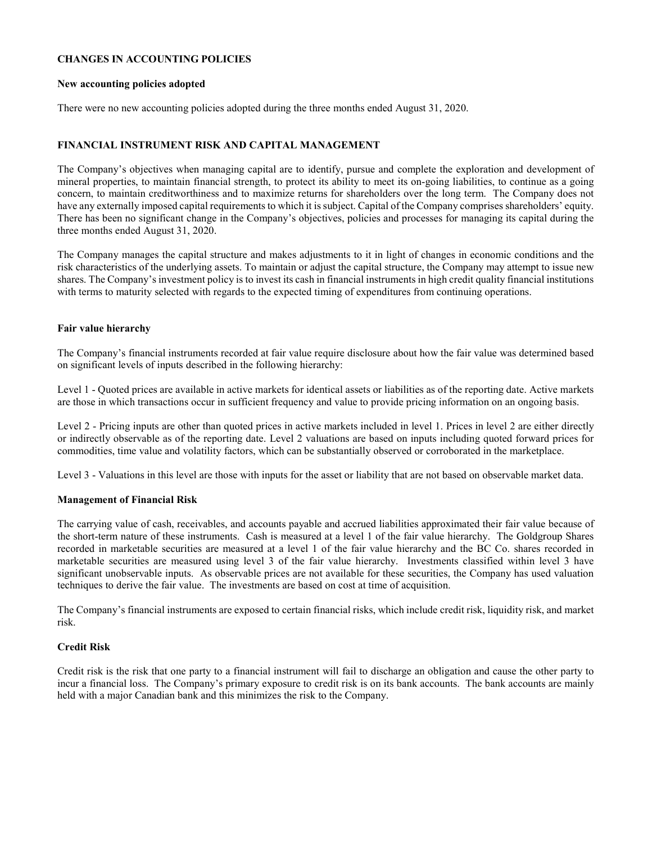### CHANGES IN ACCOUNTING POLICIES

#### New accounting policies adopted

There were no new accounting policies adopted during the three months ended August 31, 2020.

### FINANCIAL INSTRUMENT RISK AND CAPITAL MANAGEMENT

The Company's objectives when managing capital are to identify, pursue and complete the exploration and development of mineral properties, to maintain financial strength, to protect its ability to meet its on-going liabilities, to continue as a going concern, to maintain creditworthiness and to maximize returns for shareholders over the long term. The Company does not have any externally imposed capital requirements to which it is subject. Capital of the Company comprises shareholders' equity. There has been no significant change in the Company's objectives, policies and processes for managing its capital during the three months ended August 31, 2020.

The Company manages the capital structure and makes adjustments to it in light of changes in economic conditions and the risk characteristics of the underlying assets. To maintain or adjust the capital structure, the Company may attempt to issue new shares. The Company's investment policy is to invest its cash in financial instruments in high credit quality financial institutions with terms to maturity selected with regards to the expected timing of expenditures from continuing operations.

### Fair value hierarchy

The Company's financial instruments recorded at fair value require disclosure about how the fair value was determined based on significant levels of inputs described in the following hierarchy:

Level 1 - Quoted prices are available in active markets for identical assets or liabilities as of the reporting date. Active markets are those in which transactions occur in sufficient frequency and value to provide pricing information on an ongoing basis.

Level 2 - Pricing inputs are other than quoted prices in active markets included in level 1. Prices in level 2 are either directly or indirectly observable as of the reporting date. Level 2 valuations are based on inputs including quoted forward prices for commodities, time value and volatility factors, which can be substantially observed or corroborated in the marketplace.

Level 3 - Valuations in this level are those with inputs for the asset or liability that are not based on observable market data.

#### Management of Financial Risk

The carrying value of cash, receivables, and accounts payable and accrued liabilities approximated their fair value because of the short-term nature of these instruments. Cash is measured at a level 1 of the fair value hierarchy. The Goldgroup Shares recorded in marketable securities are measured at a level 1 of the fair value hierarchy and the BC Co. shares recorded in marketable securities are measured using level 3 of the fair value hierarchy. Investments classified within level 3 have significant unobservable inputs. As observable prices are not available for these securities, the Company has used valuation techniques to derive the fair value. The investments are based on cost at time of acquisition.

The Company's financial instruments are exposed to certain financial risks, which include credit risk, liquidity risk, and market risk.

## Credit Risk

Credit risk is the risk that one party to a financial instrument will fail to discharge an obligation and cause the other party to incur a financial loss. The Company's primary exposure to credit risk is on its bank accounts. The bank accounts are mainly held with a major Canadian bank and this minimizes the risk to the Company.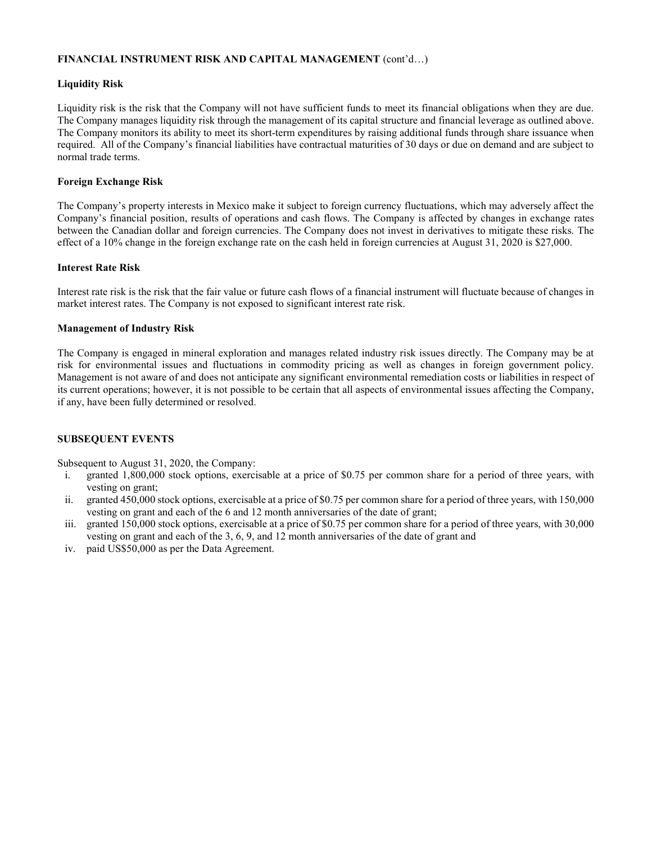## FINANCIAL INSTRUMENT RISK AND CAPITAL MANAGEMENT (cont'd…)

## Liquidity Risk

Liquidity risk is the risk that the Company will not have sufficient funds to meet its financial obligations when they are due. The Company manages liquidity risk through the management of its capital structure and financial leverage as outlined above. The Company monitors its ability to meet its short-term expenditures by raising additional funds through share issuance when required. All of the Company's financial liabilities have contractual maturities of 30 days or due on demand and are subject to normal trade terms.

## Foreign Exchange Risk

The Company's property interests in Mexico make it subject to foreign currency fluctuations, which may adversely affect the Company's financial position, results of operations and cash flows. The Company is affected by changes in exchange rates between the Canadian dollar and foreign currencies. The Company does not invest in derivatives to mitigate these risks. The effect of a 10% change in the foreign exchange rate on the cash held in foreign currencies at August 31, 2020 is \$27,000.

## Interest Rate Risk

Interest rate risk is the risk that the fair value or future cash flows of a financial instrument will fluctuate because of changes in market interest rates. The Company is not exposed to significant interest rate risk.

## Management of Industry Risk

The Company is engaged in mineral exploration and manages related industry risk issues directly. The Company may be at risk for environmental issues and fluctuations in commodity pricing as well as changes in foreign government policy. Management is not aware of and does not anticipate any significant environmental remediation costs or liabilities in respect of its current operations; however, it is not possible to be certain that all aspects of environmental issues affecting the Company, if any, have been fully determined or resolved.

## SUBSEQUENT EVENTS

Subsequent to August 31, 2020, the Company:

- i. granted 1,800,000 stock options, exercisable at a price of \$0.75 per common share for a period of three years, with vesting on grant;
- ii. granted 450,000 stock options, exercisable at a price of \$0.75 per common share for a period of three years, with 150,000 vesting on grant and each of the 6 and 12 month anniversaries of the date of grant;
- iii. granted 150,000 stock options, exercisable at a price of \$0.75 per common share for a period of three years, with 30,000 vesting on grant and each of the 3, 6, 9, and 12 month anniversaries of the date of grant and
- iv. paid US\$50,000 as per the Data Agreement.